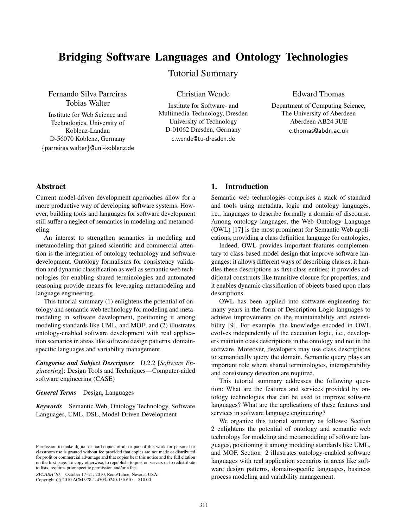# **Bridging Software Languages and Ontology Technologies**

# Tutorial Summary

Fernando Silva Parreiras Tobias Walter

Institute for Web Science and Technologies, University of Koblenz-Landau D-56070 Koblenz, Germany {parreiras,walter}@uni-koblenz.de Christian Wende

Institute for Software- and Multimedia-Technology, Dresden University of Technology D-01062 Dresden, Germany c.wende@tu-dresden.de

Edward Thomas

Department of Computing Science, The University of Aberdeen Aberdeen AB24 3UE e.thomas@abdn.ac.uk

# **Abstract**

Current model-driven development approaches allow for a more productive way of developing software systems. However, building tools and languages for software development still suffer a neglect of semantics in modeling and metamodeling.

An interest to strengthen semantics in modeling and metamodeling that gained scientific and commercial attention is the integration of ontology technology and software development. Ontology formalisms for consistency validation and dynamic classification as well as semantic web technologies for enabling shared terminologies and automated reasoning provide means for leveraging metamodeling and language engineering.

This tutorial summary (1) enlightens the potential of ontology and semantic web technology for modeling and metamodeling in software development, positioning it among modeling standards like UML, and MOF; and (2) illustrates ontology-enabled software development with real application scenarios in areas like software design patterns, domainspecific languages and variability management.

*Categories and Subject Descriptors* D.2.2 [*Software Engineering*]: Design Tools and Techniques—Computer-aided software engineering (CASE)

*General Terms* Design, Languages

*Keywords* Semantic Web, Ontology Technology, Software Languages, UML, DSL, Model-Driven Development

SPLASH'10, October 17–21, 2010, Reno/Tahoe, Nevada, USA. Copyright © 2010 ACM 978-1-4503-0240-1/10/10... \$10.00

## **1. Introduction**

Semantic web technologies comprises a stack of standard and tools using metadata, logic and ontology languages, i.e., languages to describe formally a domain of discourse. Among ontology languages, the Web Ontology Language (OWL) [17] is the most prominent for Semantic Web applications, providing a class definition language for ontologies.

Indeed, OWL provides important features complementary to class-based model design that improve software languages: it allows different ways of describing classes; it handles these descriptions as first-class entities; it provides additional constructs like transitive closure for properties; and it enables dynamic classification of objects based upon class descriptions.

OWL has been applied into software engineering for many years in the form of Description Logic languages to achieve improvements on the maintainability and extensibility [9]. For example, the knowledge encoded in OWL evolves independently of the execution logic, i.e., developers maintain class descriptions in the ontology and not in the software. Moreover, developers may use class descriptions to semantically query the domain. Semantic query plays an important role where shared terminologies, interoperability and consistency detection are required.

This tutorial summary addresses the following question: What are the features and services provided by ontology technologies that can be used to improve software languages? What are the applications of these features and services in software language engineering?

We organize this tutorial summary as follows: Section 2 enlightens the potential of ontology and semantic web technology for modeling and metamodeling of software languages, positioning it among modeling standards like UML, and MOF. Section 2 illustrates ontology-enabled software languages with real application scenarios in areas like software design patterns, domain-specific languages, business process modeling and variability management.

Permission to make digital or hard copies of all or part of this work for personal or classroom use is granted without fee provided that copies are not made or distributed for profit or commercial advantage and that copies bear this notice and the full citation on the first page. To copy otherwise, to republish, to post on servers or to redistribute to lists, requires prior specific permission and/or a fee.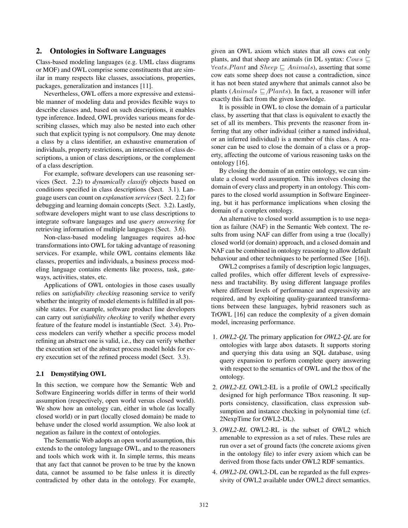## **2. Ontologies in Software Languages**

Class-based modeling languages (e.g. UML class diagrams or MOF) and OWL comprise some constituents that are similar in many respects like classes, associations, properties, packages, generalization and instances [11].

Nevertheless, OWL offers a more expressive and extensible manner of modeling data and provides flexible ways to describe classes and, based on such descriptions, it enables type inference. Indeed, OWL provides various means for describing classes, which may also be nested into each other such that explicit typing is not compulsory. One may denote a class by a class identifier, an exhaustive enumeration of individuals, property restrictions, an intersection of class descriptions, a union of class descriptions, or the complement of a class description.

For example, software developers can use reasoning services (Sect. 2.2) to *dynamically classify* objects based on conditions specified in class descriptions (Sect. 3.1). Language users can count on *explanation services* (Sect. 2.2) for debugging and learning domain concepts (Sect. 3.2). Lastly, software developers might want to use class descriptions to integrate software languages and use *query answering* for retrieving information of multiple languages (Sect. 3.6).

Non-class-based modeling languages requires ad-hoc transformations into OWL for taking advantage of reasoning services. For example, while OWL contains elements like classes, properties and individuals, a business process modeling language contains elements like process, task, gateways, activities, states, etc.

Applications of OWL ontologies in those cases usually relies on *satisfiability checking* reasoning service to verify whether the integrity of model elements is fulfilled in all possible states. For example, software product line developers can carry out *satisfiability checking* to verify whether every feature of the feature model is instantiable (Sect. 3.4). Process modelers can verify whether a specific process model refining an abstract one is valid, i.e., they can verify whether the execution set of the abstract process model holds for every execution set of the refined process model (Sect. 3.3).

### **2.1 Demystifying OWL**

In this section, we compare how the Semantic Web and Software Engineering worlds differ in terms of their world assumption (respectively, open world versus closed world). We show how an ontology can, either in whole (as locally closed world) or in part (locally closed domain) be made to behave under the closed world assumption. We also look at negation as failure in the context of ontologies.

The Semantic Web adopts an open world assumption, this extends to the ontology language OWL, and to the reasoners and tools which work with it. In simple terms, this means that any fact that cannot be proven to be true by the known data, cannot be assumed to be false unless it is directly contradicted by other data in the ontology. For example,

given an OWL axiom which states that all cows eat only plants, and that sheep are animals (in DL syntax:  $Cows \sqsubseteq$  $\forall eats. Plant$  and  $Sheep \sqsubseteq Animals$ ), asserting that some cow eats some sheep does not cause a contradiction, since it has not been stated anywhere that animals cannot also be plants ( $Animals \sqsubseteq/Plants$ ). In fact, a reasoner will infer exactly this fact from the given knowledge.

It is possible in OWL to close the domain of a particular class, by asserting that that class is equivalent to exactly the set of all its members. This prevents the reasoner from inferring that any other individual (either a named individual, or an inferred individual) is a member of this class. A reasoner can be used to close the domain of a class or a property, affecting the outcome of various reasoning tasks on the ontology [16].

By closing the domain of an entire ontology, we can simulate a closed world assumption. This involves closing the domain of every class and property in an ontology. This compares to the closed world assumption in Software Engineering, but it has performance implications when closing the domain of a complex ontology.

An alternative to closed world assumption is to use negation as failure (NAF) in the Semantic Web context. The results from using NAF can differ from using a true (locally) closed world (or domain) approach, and a closed domain and NAF can be combined in ontology reasoning to allow default behaviour and other techniques to be performed (See [16]).

OWL2 comprises a family of description logic languages, called profiles, which offer different levels of expressiveness and tractability. By using different language profiles where different levels of performance and expressivity are required, and by exploiting quality-guaranteed transformations between these languages, hybrid reasoners such as TrOWL [16] can reduce the complexity of a given domain model, increasing performance.

- 1. *OWL2-QL* The primary application for *OWL2-QL* are for ontologies with large abox datasets. It supports storing and querying this data using an SQL database, using query expansion to perform complete query answering with respect to the semantics of OWL and the tbox of the ontology.
- 2. *OWL2-EL* OWL2-EL is a profile of OWL2 specifically designed for high performance TBox reasoning. It supports consistency, classification, class expression subsumption and instance checking in polynomial time (cf. 2NexpTime for OWL2-DL).
- 3. *OWL2-RL* OWL2-RL is the subset of OWL2 which amenable to expression as a set of rules. These rules are run over a set of ground facts (the concrete axioms given in the ontology file) to infer every axiom which can be derived from those facts under OWL2 RDF semantics.
- 4. *OWL2-DL* OWL2-DL can be regarded as the full expressivity of OWL2 available under OWL2 direct semantics.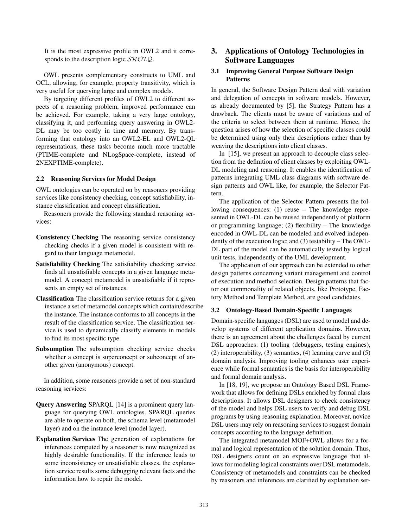It is the most expressive profile in OWL2 and it corresponds to the description logic  $\mathcal{SROIQ}$ .

OWL presents complementary constructs to UML and OCL, allowing, for example, property transitivity, which is very useful for querying large and complex models.

By targeting different profiles of OWL2 to different aspects of a reasoning problem, improved performance can be achieved. For example, taking a very large ontology, classifying it, and performing query answering in OWL2- DL may be too costly in time and memory. By transforming that ontology into an OWL2-EL and OWL2-QL representations, these tasks become much more tractable (PTIME-complete and NLogSpace-complete, instead of 2NEXPTIME-complete).

#### **2.2 Reasoning Services for Model Design**

OWL ontologies can be operated on by reasoners providing services like consistency checking, concept satisfiability, instance classification and concept classification.

Reasoners provide the following standard reasoning services:

- **Consistency Checking** The reasoning service consistency checking checks if a given model is consistent with regard to their language metamodel.
- **Satisfiability Checking** The satisfiability checking service finds all unsatisfiable concepts in a given language metamodel. A concept metamodel is unsatisfiable if it represents an empty set of instances.
- **Classification** The classification service returns for a given instance a set of metamodel concepts which contain/describe the instance. The instance conforms to all concepts in the result of the classification service. The classification service is used to dynamically classify elements in models to find its most specific type.
- **Subsumption** The subsumption checking service checks whether a concept is superconcept or subconcept of another given (anonymous) concept.

In addition, some reasoners provide a set of non-standard reasoning services:

- **Query Answering** SPARQL [14] is a prominent query language for querying OWL ontologies. SPARQL queries are able to operate on both, the schema level (metamodel layer) and on the instance level (model layer).
- **Explanation Services** The generation of explanations for inferences computed by a reasoner is now recognized as highly desirable functionality. If the inference leads to some inconsistency or unsatisfiable classes, the explanation service results some debugging relevant facts and the information how to repair the model.

# **3. Applications of Ontology Technologies in Software Languages**

### **3.1 Improving General Purpose Software Design Patterns**

In general, the Software Design Pattern deal with variation and delegation of concepts in software models. However, as already documented by [5], the Strategy Pattern has a drawback. The clients must be aware of variations and of the criteria to select between them at runtime. Hence, the question arises of how the selection of specific classes could be determined using only their descriptions rather than by weaving the descriptions into client classes.

In [15], we present an approach to decouple class selection from the definition of client classes by exploiting OWL-DL modeling and reasoning. It enables the identification of patterns integrating UML class diagrams with software design patterns and OWL like, for example, the Selector Pattern.

The application of the Selector Pattern presents the following consequences: (1) reuse – The knowledge represented in OWL-DL can be reused independently of platform or programming language; (2) flexibility – The knowledge encoded in OWL-DL can be modeled and evolved independently of the execution logic; and (3) testability – The OWL-DL part of the model can be automatically tested by logical unit tests, independently of the UML development.

The application of our approach can be extended to other design patterns concerning variant management and control of execution and method selection. Design patterns that factor out commonality of related objects, like Prototype, Factory Method and Template Method, are good candidates.

#### **3.2 Ontology-Based Domain-Specific Languages**

Domain-specific languages (DSL) are used to model and develop systems of different application domains. However, there is an agreement about the challenges faced by current DSL approaches: (1) tooling (debuggers, testing engines), (2) interoperability, (3) semantics, (4) learning curve and (5) domain analysis. Improving tooling enhances user experience while formal semantics is the basis for interoperability and formal domain analysis.

In [18, 19], we propose an Ontology Based DSL Framework that allows for defining DSLs enriched by formal class descriptions. It allows DSL designers to check consistency of the model and helps DSL users to verify and debug DSL programs by using reasoning explanation. Moreover, novice DSL users may rely on reasoning services to suggest domain concepts according to the language definition.

The integrated metamodel MOF+OWL allows for a formal and logical representation of the solution domain. Thus, DSL designers count on an expressive language that allows for modeling logical constraints over DSL metamodels. Consistency of metamodels and constraints can be checked by reasoners and inferences are clarified by explanation ser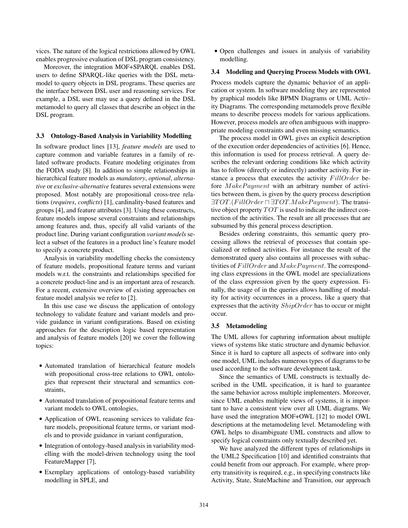vices. The nature of the logical restrictions allowed by OWL enables progressive evaluation of DSL program consistency.

Moreover, the integration MOF+SPARQL enables DSL users to define SPARQL-like queries with the DSL metamodel to query objects in DSL programs. These queries are the interface between DSL user and reasoning services. For example, a DSL user may use a query defined in the DSL metamodel to query all classes that describe an object in the DSL program.

#### **3.3 Ontology-Based Analysis in Variability Modelling**

In software product lines [13], *feature models* are used to capture common and variable features in a family of related software products. Feature modeling originates from the FODA study [8]. In addition to simple relationships in hierarchical feature models as *mandatory*, *optional*, *alternative* or *exclusive-alternative* features several extensions were proposed. Most notably are propositional cross-tree relations (*requires*, *conflicts*) [1], cardinality-based features and groups [4], and feature attributes [3]. Using these constructs, feature models impose several constraints and relationships among features and, thus, specify all valid variants of the product line. During variant configuration *variant models* select a subset of the features in a product line's feature model to specify a concrete product.

Analysis in variability modelling checks the consistency of feature models, propositional feature terms and variant models w.r.t. the constraints and relationships specified for a concrete product-line and is an important area of research. For a recent, extensive overview of existing approaches on feature model analysis we refer to [2].

In this use case we discuss the application of ontology technology to validate feature and variant models and provide guidance in variant configurations. Based on existing approaches for the description logic based representation and analysis of feature models [20] we cover the following topics:

- *•* Automated translation of hierarchical feature models with propositional cross-tree relations to OWL ontologies that represent their structural and semantics constraints,
- *•* Automated translation of propositional feature terms and variant models to OWL ontologies,
- *•* Application of OWL reasoning services to validate feature models, propositional feature terms, or variant models and to provide guidance in variant configuration,
- *•* Integration of ontology-based analysis in variability modelling with the model-driven technology using the tool FeatureMapper [7],
- *•* Exemplary applications of ontology-based variability modelling in SPLE, and

*•* Open challenges and issues in analysis of variability modelling.

#### **3.4 Modeling and Querying Process Models with OWL**

Process models capture the dynamic behavior of an application or system. In software modeling they are represented by graphical models like BPMN Diagrams or UML Activity Diagrams. The corresponding metamodels prove flexible means to describe process models for various applications. However, process models are often ambiguous with inappropriate modeling constraints and even missing semantics.

The process model in OWL gives an explicit description of the execution order dependencies of activities [6]. Hence, this information is used for process retrieval. A query describes the relevant ordering conditions like which activity has to follow (directly or indirectly) another activity. For instance a process that executes the activity *F illOrder* before *MakePayment* with an arbitrary number of activities between them, is given by the query process description ∃*TOT.*(*F illOrder* ∃*T OT.M akeP ayment*). The transitive object property *TOT* is used to indicate the indirect connection of the activities. The result are all processes that are subsumed by this general process description.

Besides ordering constraints, this semantic query processing allows the retrieval of processes that contain specialized or refined activities. For instance the result of the demonstrated query also contains all processes with subactivities of *F illOrder* and *M akeP ayment*. The corresponding class expressions in the OWL model are specializations of the class expression given by the query expression. Finally, the usage of in the queries allows handling of modality for activity occurrences in a process, like a query that expresses that the activity *ShipOrder* has to occur or might occur.

#### **3.5 Metamodeling**

The UML allows for capturing information about multiple views of systems like static structure and dynamic behavior. Since it is hard to capture all aspects of software into only one model, UML includes numerous types of diagrams to be used according to the software development task.

Since the semantics of UML constructs is textually described in the UML specification, it is hard to guarantee the same behavior across multiple implementers. Moreover, since UML enables multiple views of systems, it is important to have a consistent view over all UML diagrams. We have used the integration MOF+OWL [12] to model OWL descriptions at the metamodeling level. Metamodeling with OWL helps to disambiguate UML constructs and allow to specify logical constraints only textually described yet.

We have analyzed the different types of relationships in the UML2 Specification [10] and identified constraints that could benefit from our approach. For example, where property transitivity is required, e.g., in specifying constructs like Activity, State, StateMachine and Transition, our approach